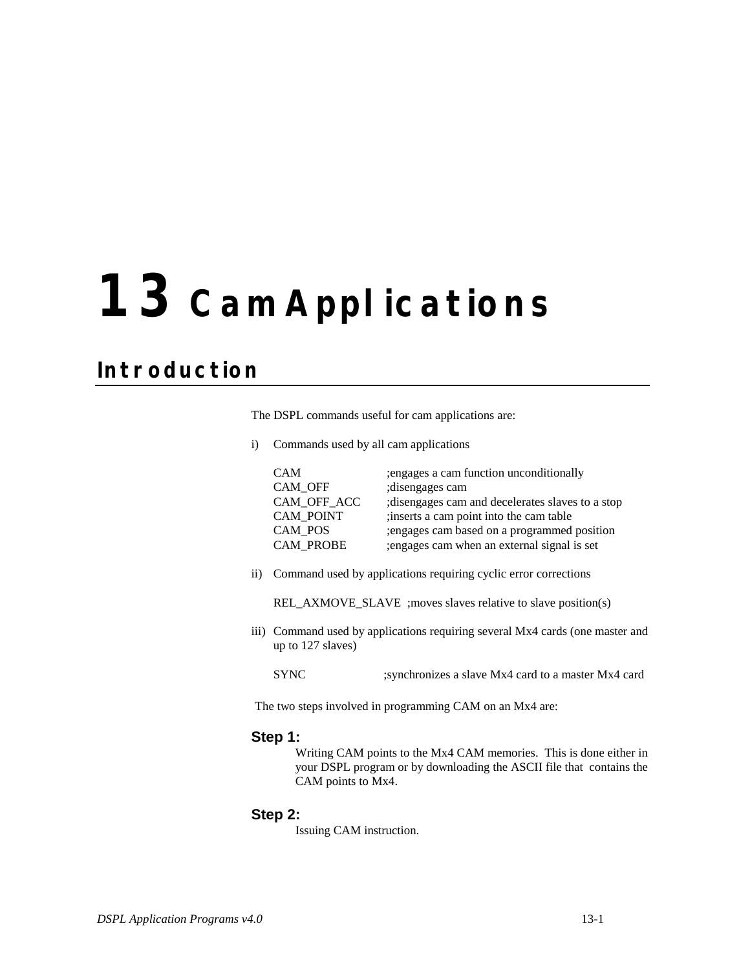## **Introduction**

The DSPL commands useful for cam applications are:

i) Commands used by all cam applications

| <b>CAM</b>       | engages a cam function unconditionally          |
|------------------|-------------------------------------------------|
| CAM OFF          | ; disengages cam                                |
| CAM OFF ACC      | disengages cam and decelerates slaves to a stop |
| <b>CAM POINT</b> | inserts a cam point into the cam table          |
| CAM POS          | engages cam based on a programmed position      |
| <b>CAM PROBE</b> | ; engages cam when an external signal is set    |

ii) Command used by applications requiring cyclic error corrections

REL\_AXMOVE\_SLAVE ;moves slaves relative to slave position(s)

- iii) Command used by applications requiring several Mx4 cards (one master and up to 127 slaves)
	- SYNC ;synchronizes a slave Mx4 card to a master Mx4 card

The two steps involved in programming CAM on an Mx4 are:

#### **Step 1:**

Writing CAM points to the Mx4 CAM memories. This is done either in your DSPL program or by downloading the ASCII file that contains the CAM points to Mx4.

#### **Step 2:**

Issuing CAM instruction.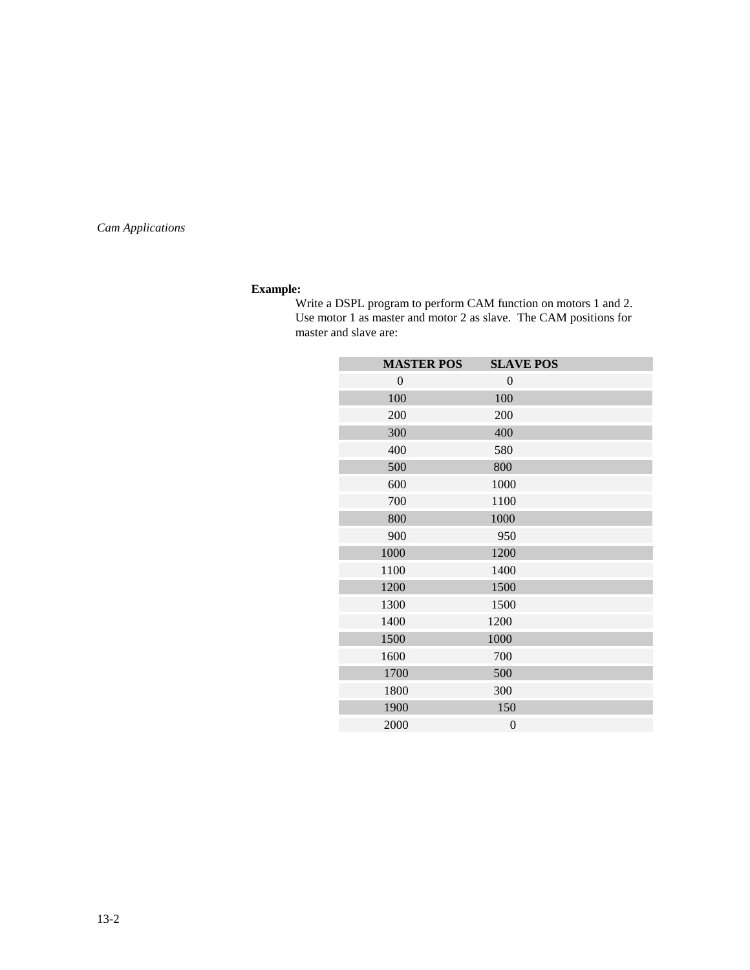## **Example:**

Write a DSPL program to perform CAM function on motors 1 and 2. Use motor 1 as master and motor 2 as slave. The CAM positions for master and slave are:

| <b>MASTER POS</b> | <b>SLAVE POS</b> |  |
|-------------------|------------------|--|
| $\boldsymbol{0}$  | $\mathbf{0}$     |  |
| 100               | 100              |  |
| 200               | 200              |  |
| 300               | 400              |  |
| 400               | 580              |  |
| 500               | 800              |  |
| 600               | 1000             |  |
| 700               | 1100             |  |
| 800               | 1000             |  |
| 900               | 950              |  |
| 1000              | 1200             |  |
| 1100              | 1400             |  |
| 1200              | 1500             |  |
| 1300              | 1500             |  |
| 1400              | 1200             |  |
| 1500              | 1000             |  |
| 1600              | 700              |  |
| 1700              | 500              |  |
| 1800              | 300              |  |
| 1900              | 150              |  |
| 2000              | $\overline{0}$   |  |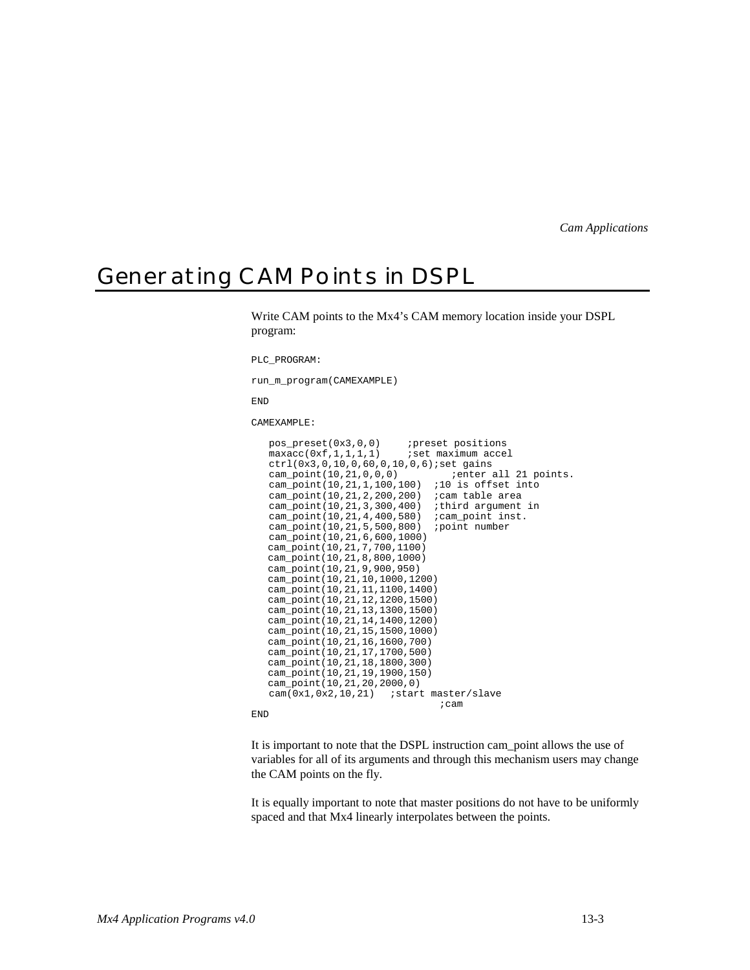## Generating CAM Points in DSPL

Write CAM points to the Mx4's CAM memory location inside your DSPL program:

PLC\_PROGRAM:

run\_m\_program(CAMEXAMPLE)

END

CAMEXAMPLE:

```
pos_preset(0x3,0,0) ;preset positions<br>maxacc(0xf.1.1.1.1) ;set maximum accel
   maxacc(0xf,1,1,1,1)ctrl(0x3,0,10,0,60,0,10,0,6); set gains<br>cam_point(10,21,0,0,0) ; enter all 21 points.
   cam\_point(10, 21, 0, 0, 0) ; enter all 21 p cam\_point(10, 21, 1, 100, 100) ; 10 is offset into
 cam_point(10,21,1,100,100) ;10 is offset into
 cam_point(10,21,2,200,200) ;cam table area
   cam_point(10,21,3,300,400) ;third argument in cam_point(10,21,4,400,580) ;cam_point inst.
   cam_point(10,21,4,400,580) ;cam_point in<br>cam_point(10,21,5,500,800) ;point number
   cam_point(10,21,5,500,800)
    cam_point(10,21,6,600,1000)
   cam_point(10,21,7,700,1100)
   cam_point(10,21,8,800,1000)
   cam_point(10,21,9,900,950)
   cam_point(10,21,10,1000,1200)
   cam_point(10,21,11,1100,1400)
   cam_point(10,21,12,1200,1500)
   cam_point(10,21,13,1300,1500)
   cam_point(10,21,14,1400,1200)
   cam_point(10,21,15,1500,1000)
   cam_point(10,21,16,1600,700)
   cam_point(10,21,17,1700,500)
   cam_point(10,21,18,1800,300)
   cam_point(10,21,19,1900,150)
   cam_point(10,21,20,2000,0)
   cam(0x1,0x2,10,21) ; start master/slave
                                         ;cam
```
END

It is important to note that the DSPL instruction cam\_point allows the use of variables for all of its arguments and through this mechanism users may change the CAM points on the fly.

It is equally important to note that master positions do not have to be uniformly spaced and that Mx4 linearly interpolates between the points.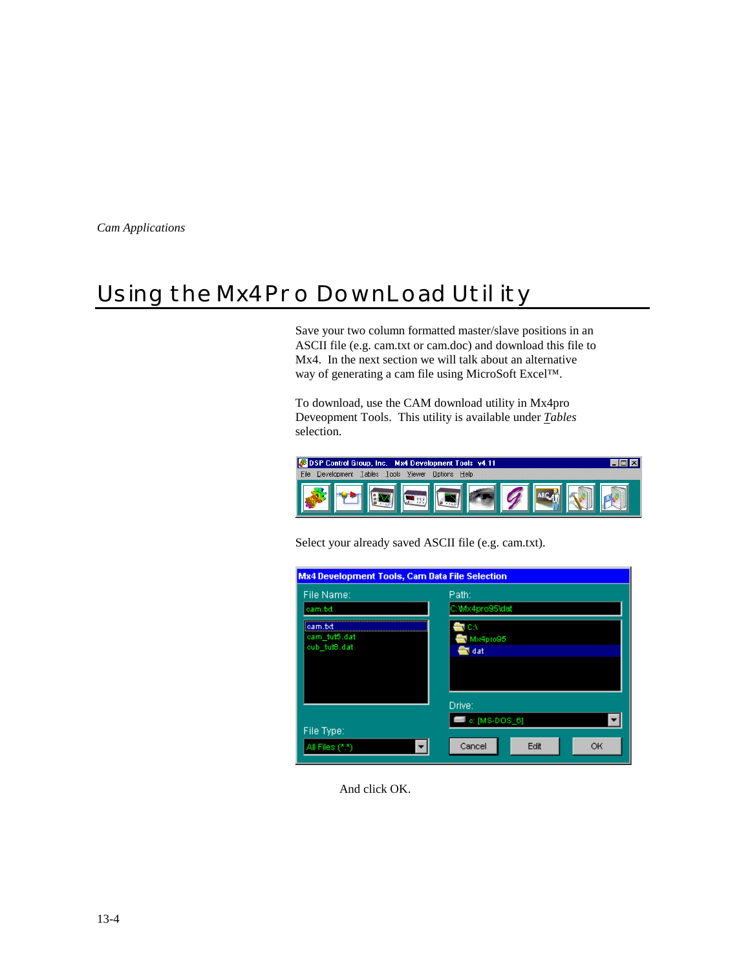# Using the Mx4Pro DownLoad Utility

Save your two column formatted master/slave positions in an ASCII file (e.g. cam.txt or cam.doc) and download this file to Mx4. In the next section we will talk about an alternative way of generating a cam file using MicroSoft Excel™.

To download, use the CAM download utility in Mx4pro Deveopment Tools. This utility is available under *Tables* selection.



Select your already saved ASCII file (e.g. cam.txt).



And click OK.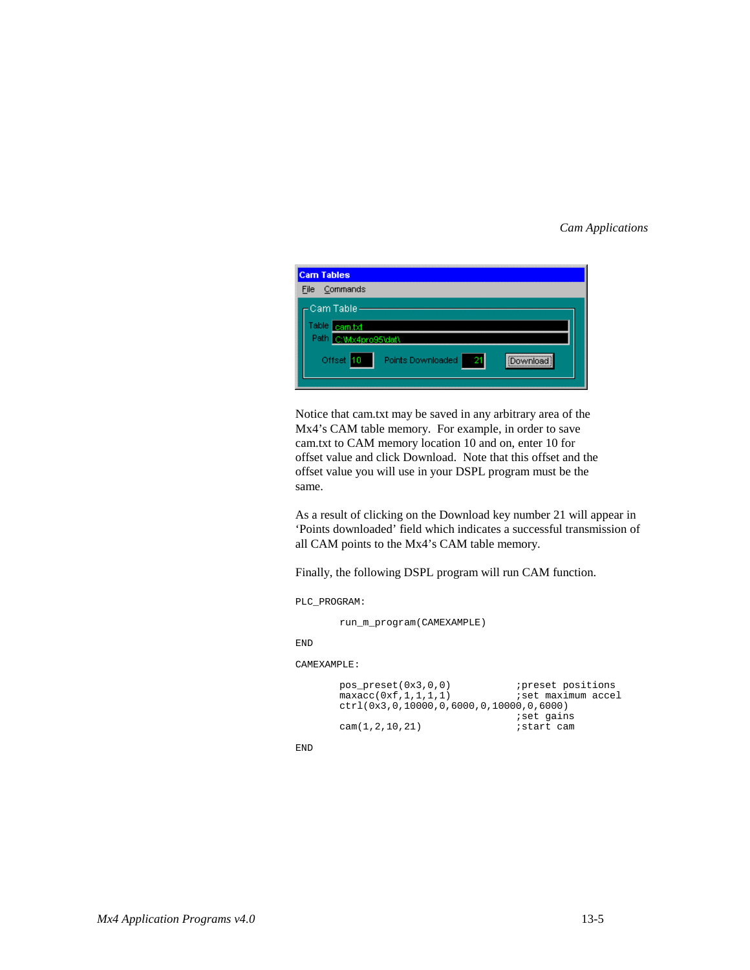

Notice that cam.txt may be saved in any arbitrary area of the Mx4's CAM table memory. For example, in order to save cam.txt to CAM memory location 10 and on, enter 10 for offset value and click Download. Note that this offset and the offset value you will use in your DSPL program must be the same.

As a result of clicking on the Download key number 21 will appear in 'Points downloaded' field which indicates a successful transmission of all CAM points to the Mx4's CAM table memory.

Finally, the following DSPL program will run CAM function.

#### PLC\_PROGRAM:

```
run_m_program(CAMEXAMPLE)
```
END

#### CAMEXAMPLE:

```
pos_preset(0x3,0,0) ;preset positions<br>maxacc(0xf,1,1,1,1) ;set maximum accel
maxacc(0xf,1,1,1,1) ;set maximum accel
ctrl(0x3,0,10000,0,6000,0,10000,0,6000)
                                    iset gains<br>istart cam
cam(1,2,10,21)
```
END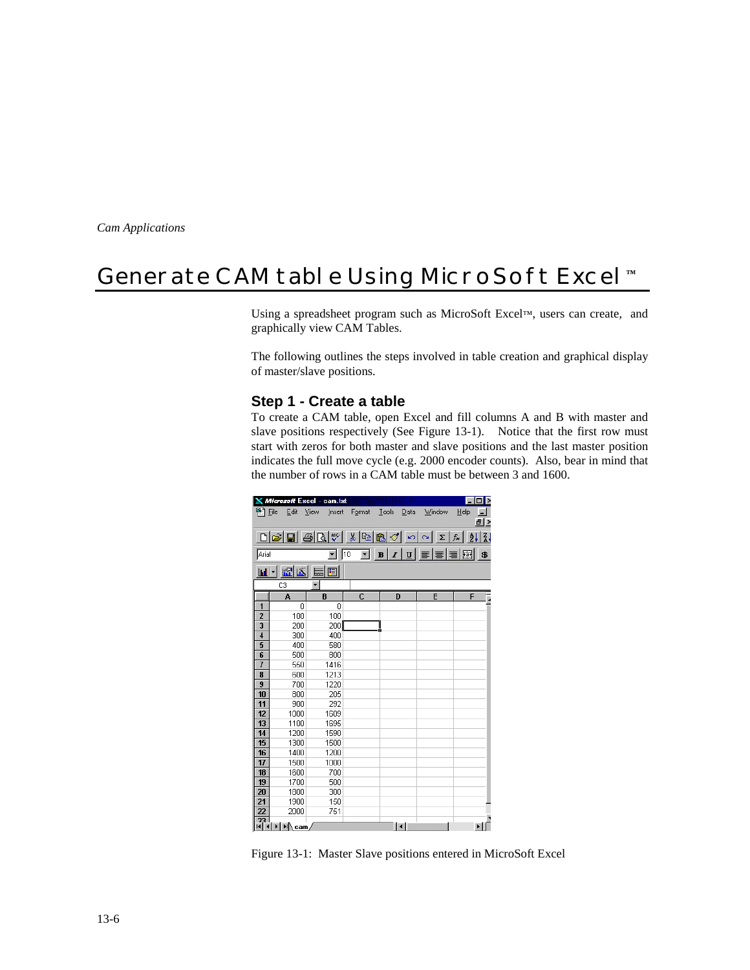## Generate CAM table Using MicroSoft Excel**™**

Using a spreadsheet program such as MicroSoft Excel™, users can create, and graphically view CAM Tables.

The following outlines the steps involved in table creation and graphical display of master/slave positions.

#### **Step 1 - Create a table**

To create a CAM table, open Excel and fill columns A and B with master and slave positions respectively (See Figure 13-1). Notice that the first row must start with zeros for both master and slave positions and the last master position indicates the full move cycle (e.g. 2000 encoder counts). Also, bear in mind that the number of rows in a CAM table must be between 3 and 1600.

|                |                                                                                                                                                                                                                                                                                                                                                                                                                         | <b>X Microsoft Excel - cam.txt</b> |             |                             |        | $\Box$ DIX                       |
|----------------|-------------------------------------------------------------------------------------------------------------------------------------------------------------------------------------------------------------------------------------------------------------------------------------------------------------------------------------------------------------------------------------------------------------------------|------------------------------------|-------------|-----------------------------|--------|----------------------------------|
| ≌ী Eile        | Edit                                                                                                                                                                                                                                                                                                                                                                                                                    | View<br>Insert                     | Format      | <b>Lools</b><br>Data        | Window | Help<br>$\overline{\phantom{a}}$ |
|                |                                                                                                                                                                                                                                                                                                                                                                                                                         |                                    |             |                             |        | <sub>日</sub> ×                   |
|                |                                                                                                                                                                                                                                                                                                                                                                                                                         |                                    |             |                             |        |                                  |
|                |                                                                                                                                                                                                                                                                                                                                                                                                                         |                                    |             |                             |        |                                  |
| Arial          |                                                                                                                                                                                                                                                                                                                                                                                                                         |                                    | $\sqrt{10}$ | ◘ B   Z   U   ≣   ≣   ≣   ⊠ |        | $ 3\rangle$                      |
| <b>ILL</b>     | $  \mathbf{x}  $                                                                                                                                                                                                                                                                                                                                                                                                        | 巨<br>囘                             |             |                             |        |                                  |
|                | C3                                                                                                                                                                                                                                                                                                                                                                                                                      | $\overline{\phantom{a}}$           |             |                             |        |                                  |
|                | А                                                                                                                                                                                                                                                                                                                                                                                                                       | B                                  | C           | D                           | E      | F                                |
| 1              | n                                                                                                                                                                                                                                                                                                                                                                                                                       | 0                                  |             |                             |        |                                  |
| $\overline{2}$ | 100                                                                                                                                                                                                                                                                                                                                                                                                                     | 100                                |             |                             |        |                                  |
| 3              | 200                                                                                                                                                                                                                                                                                                                                                                                                                     | 200                                |             |                             |        |                                  |
| $\overline{4}$ | 300                                                                                                                                                                                                                                                                                                                                                                                                                     | 400                                |             |                             |        |                                  |
| 5              | 400                                                                                                                                                                                                                                                                                                                                                                                                                     | 580                                |             |                             |        |                                  |
| 6              | 500                                                                                                                                                                                                                                                                                                                                                                                                                     | 800                                |             |                             |        |                                  |
|                | 550                                                                                                                                                                                                                                                                                                                                                                                                                     | 1416                               |             |                             |        |                                  |
| 8              | 600                                                                                                                                                                                                                                                                                                                                                                                                                     | 1213                               |             |                             |        |                                  |
| 9              | 700                                                                                                                                                                                                                                                                                                                                                                                                                     | 1220                               |             |                             |        |                                  |
| 10             | 800                                                                                                                                                                                                                                                                                                                                                                                                                     | 205                                |             |                             |        |                                  |
| 11             | 900                                                                                                                                                                                                                                                                                                                                                                                                                     | 292                                |             |                             |        |                                  |
| 12             | 1000                                                                                                                                                                                                                                                                                                                                                                                                                    | 1609                               |             |                             |        |                                  |
| 13             | 1100                                                                                                                                                                                                                                                                                                                                                                                                                    | 1695                               |             |                             |        |                                  |
| 14             | 1200                                                                                                                                                                                                                                                                                                                                                                                                                    | 1590                               |             |                             |        |                                  |
| 15             | 1300                                                                                                                                                                                                                                                                                                                                                                                                                    | 1500                               |             |                             |        |                                  |
| 16             | 1400                                                                                                                                                                                                                                                                                                                                                                                                                    | 1200                               |             |                             |        |                                  |
| 17             | 1500                                                                                                                                                                                                                                                                                                                                                                                                                    | 1000                               |             |                             |        |                                  |
| 18             | 1600                                                                                                                                                                                                                                                                                                                                                                                                                    | 700                                |             |                             |        |                                  |
| 19             | 1700                                                                                                                                                                                                                                                                                                                                                                                                                    | 500                                |             |                             |        |                                  |
| 20<br>21       | 1800<br>1900                                                                                                                                                                                                                                                                                                                                                                                                            | 300                                |             |                             |        |                                  |
| 22             | 2000                                                                                                                                                                                                                                                                                                                                                                                                                    | 150<br>751                         |             |                             |        |                                  |
| 23             |                                                                                                                                                                                                                                                                                                                                                                                                                         |                                    |             |                             |        |                                  |
|                | $\mathbb{E}[\mathbb{E}[\mathbb{E}[\mathbb{E}[\mathbb{E}[\mathcal{E}]]\mathbb{E}[\mathbb{E}[\mathbb{E}[\mathbb{E}[\mathcal{E}]]\mathbb{E}[\mathbb{E}[\mathbb{E}[\mathbb{E}[\mathbb{E}[\mathbb{E}[\mathbb{E}[\mathbb{E}[\mathbb{E}[\mathbb{E}[\mathbb{E}[\mathbb{E}[\mathbb{E}[\mathbb{E}[\mathbb{E}[\mathbb{E}[\mathbb{E}[\mathbb{E}[\mathbb{E}[\mathbb{E}[\mathbb{E}[\mathbb{E}[\mathbb{E}[\mathbb{E}[\mathbb{E}[\math$ |                                    |             | $\vert \cdot \vert$         |        | $\blacktriangleright$            |

Figure 13-1: Master Slave positions entered in MicroSoft Excel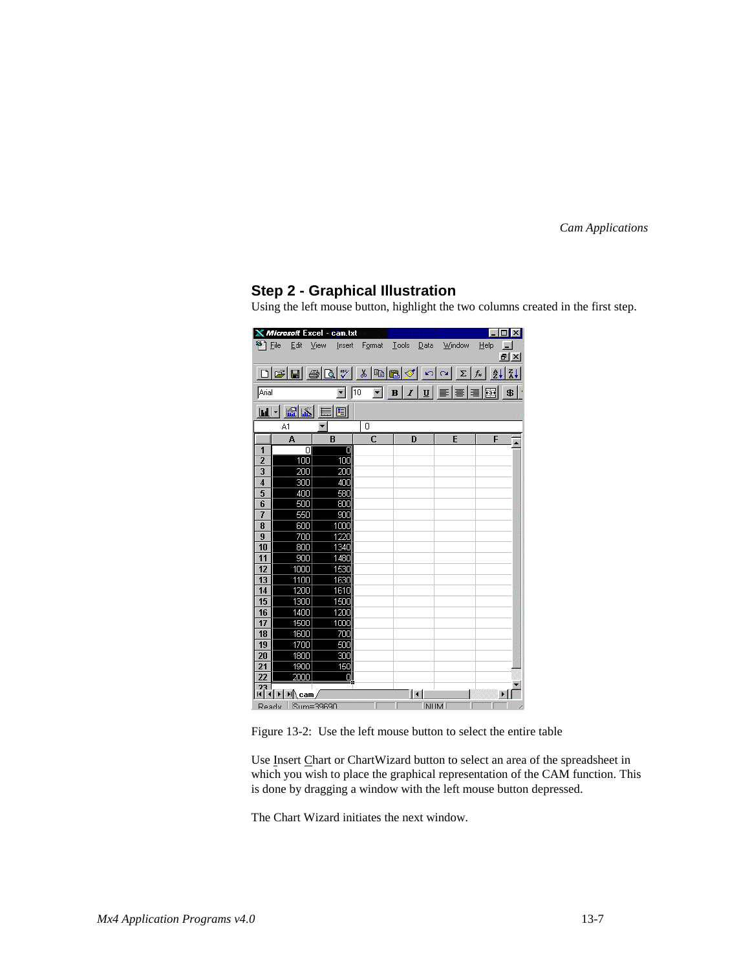## **Step 2 - Graphical Illustration**

Using the left mouse button, highlight the two columns created in the first step.

|                      |                              | Microsoft Excel - cam.txt           |                |                                            |          | $\Box$<br>L        |
|----------------------|------------------------------|-------------------------------------|----------------|--------------------------------------------|----------|--------------------|
| <sup>ss</sup> 1 File | Edit                         | View<br>Insert                      | Format         | <b>Tools</b><br>Data                       | Window   | Help<br>шı         |
|                      |                              |                                     |                |                                            |          | <u>alxi</u>        |
|                      | $\Box$ $E$ $E$ $B$ $\Lambda$ |                                     | X,             |                                            |          |                    |
|                      |                              |                                     |                |                                            |          |                    |
| Arial                |                              | $\sqrt{10}$<br>$\blacktriangledown$ | $\mathbf{F}$ B | $I   \underline{\mathsf{U}}   \equiv$<br>H | lΞ<br>۱Ξ | $\mathbf{B}$<br>비핵 |
| Ш                    | $\mathbb{Z}$ $\mathbb{Z}$    | 圓<br>巨                              |                |                                            |          |                    |
|                      | A1                           |                                     | 0              |                                            |          |                    |
|                      | A                            | B                                   | C              | D                                          | E        | F                  |
| 1                    | 0                            | 0                                   |                |                                            |          | $\blacktriangle$   |
| $\overline{2}$       | 100                          | 100                                 |                |                                            |          |                    |
| 3                    | 200                          | 200                                 |                |                                            |          |                    |
| $\overline{4}$       | 300                          | 400                                 |                |                                            |          |                    |
| 5                    | 400                          | 580                                 |                |                                            |          |                    |
| 6                    | 500                          | 800                                 |                |                                            |          |                    |
| 7                    | 550                          | 900                                 |                |                                            |          |                    |
| 8                    | 600                          | 1000                                |                |                                            |          |                    |
| 9                    | 700                          | 1220                                |                |                                            |          |                    |
| 10                   | 800                          | 1340                                |                |                                            |          |                    |
| 11                   | 900                          | 1480                                |                |                                            |          |                    |
| 12                   | 1000                         | 1530                                |                |                                            |          |                    |
| 13                   | 1100                         | 1630                                |                |                                            |          |                    |
| 14                   | 1200                         | 1610                                |                |                                            |          |                    |
| 15                   | 1300                         | 1500                                |                |                                            |          |                    |
| 16                   | 1400                         | 1200                                |                |                                            |          |                    |
| 17                   | 1500                         | 1000                                |                |                                            |          |                    |
| 18                   | 1600                         | 700                                 |                |                                            |          |                    |
| 19                   | 1700                         | 500                                 |                |                                            |          |                    |
| 20                   | 1800                         | 300                                 |                |                                            |          |                    |
| $\overline{21}$      | 1900                         | 150                                 |                |                                            |          |                    |
| 22<br>23             | 2000                         | ٥l                                  |                |                                            |          |                    |
|                      | $M\cap Cam$                  |                                     |                | $\vert\vert\vert$                          |          | ▸│                 |
| Ready                |                              | $Sum = 39690$                       |                |                                            | INI IM   |                    |

Figure 13-2: Use the left mouse button to select the entire table

Use Insert Chart or ChartWizard button to select an area of the spreadsheet in which you wish to place the graphical representation of the CAM function. This is done by dragging a window with the left mouse button depressed.

The Chart Wizard initiates the next window.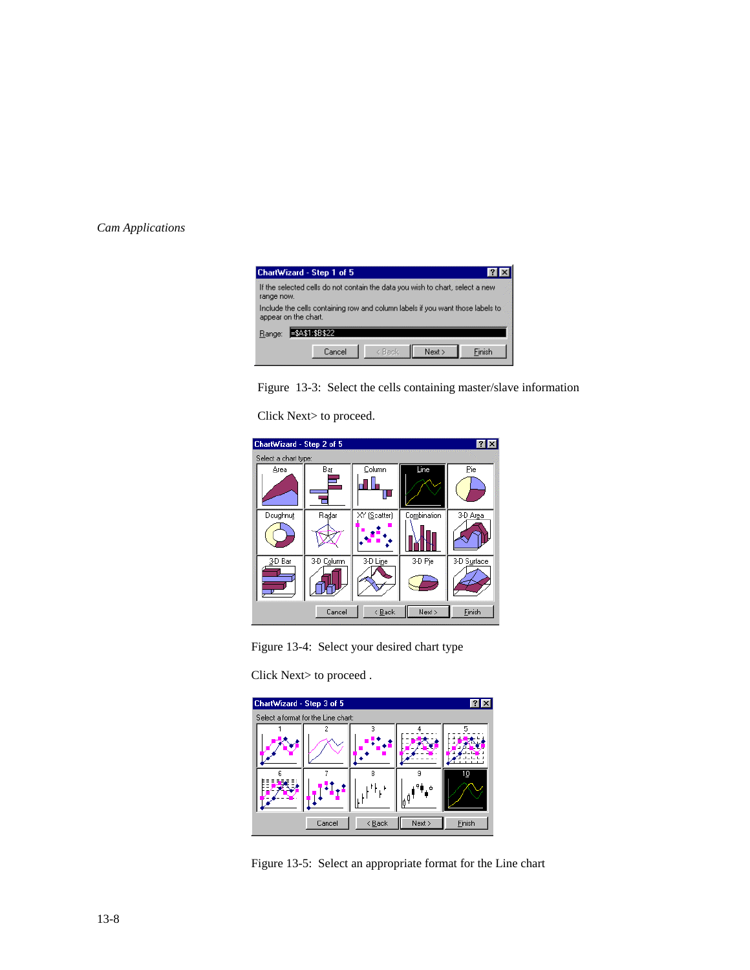

Figure 13-3: Select the cells containing master/slave information

Click Next> to proceed.



Figure 13-4: Select your desired chart type

Click Next> to proceed .



Figure 13-5: Select an appropriate format for the Line chart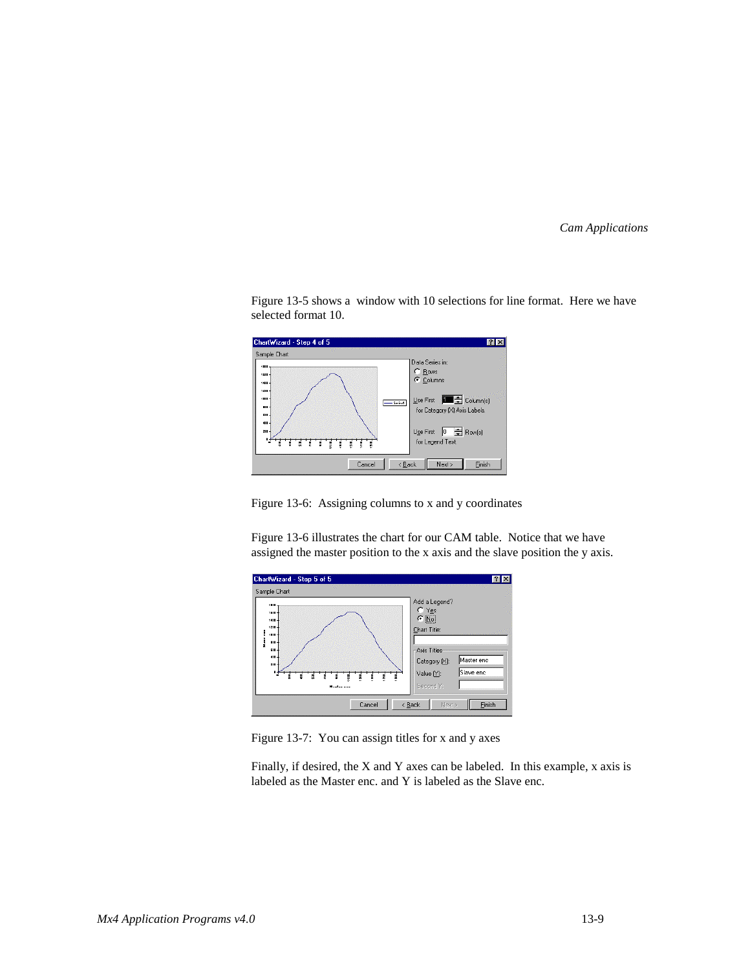

Figure 13-5 shows a window with 10 selections for line format. Here we have selected format 10.

Figure 13-6: Assigning columns to x and y coordinates

Figure 13-6 illustrates the chart for our CAM table. Notice that we have assigned the master position to the x axis and the slave position the y axis.



Figure 13-7: You can assign titles for x and y axes

Finally, if desired, the X and Y axes can be labeled. In this example, x axis is labeled as the Master enc. and Y is labeled as the Slave enc.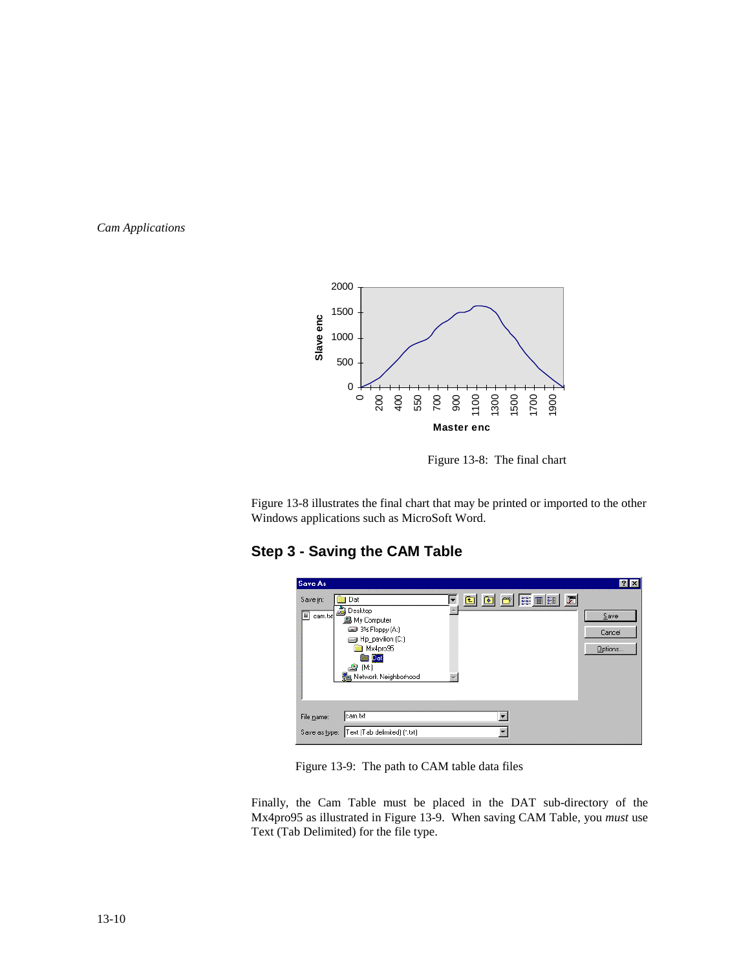

Figure 13-8: The final chart

Figure 13-8 illustrates the final chart that may be printed or imported to the other Windows applications such as MicroSoft Word.

## **Step 3 - Saving the CAM Table**

| <b>Save As</b>                                                                                                                                                                                                  | $R$ $\times$              |
|-----------------------------------------------------------------------------------------------------------------------------------------------------------------------------------------------------------------|---------------------------|
| $\mathbb{R}$<br>$\bullet$<br>E<br>$\mathbf{E}$<br>Dat<br>Save in:<br>Desktop<br>T<br>cam.txt<br>■ My Computer<br>3½ Floppy (A:)<br>Hp_pavilion (C:)<br>Mx4pro95<br>Dat<br>[M!]<br><b>题</b> Network Neighborhood | Save<br>Cancel<br>Options |
| cam.txt<br>$\overline{\phantom{a}}$<br>File name:<br>Save as type: Text (Tab delimited) (*.txt)                                                                                                                 |                           |

Figure 13-9: The path to CAM table data files

Finally, the Cam Table must be placed in the DAT sub-directory of the Mx4pro95 as illustrated in Figure 13-9. When saving CAM Table, you *must* use Text (Tab Delimited) for the file type.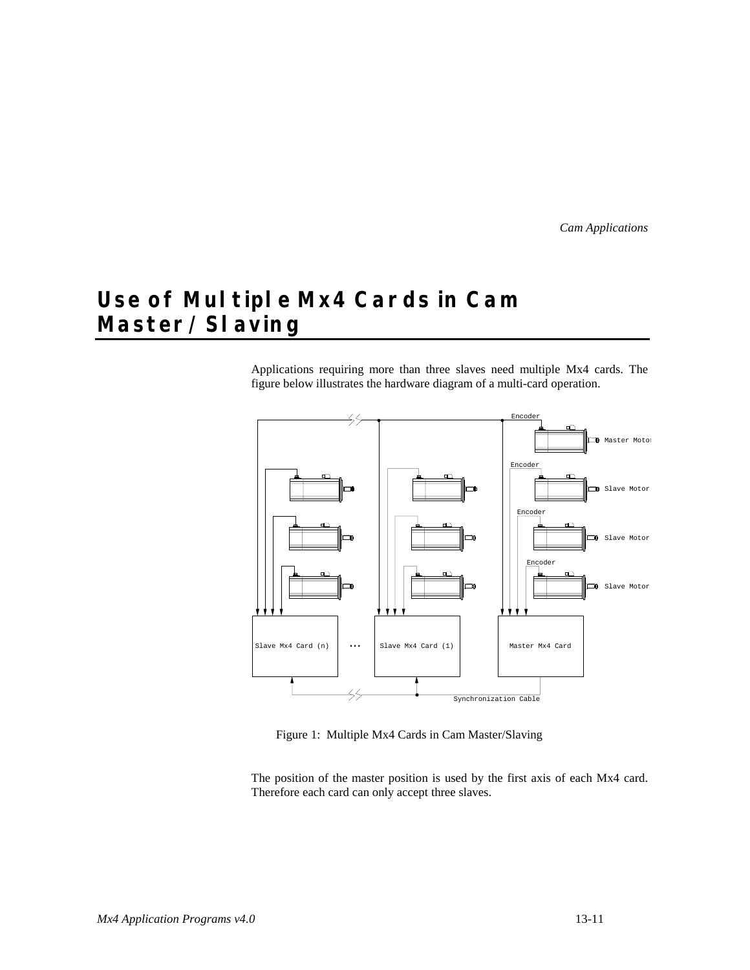# **Use of Multiple Mx4 Cards in Cam Master/Slaving**

Applications requiring more than three slaves need multiple Mx4 cards. The figure below illustrates the hardware diagram of a multi-card operation.



Figure 1: Multiple Mx4 Cards in Cam Master/Slaving

The position of the master position is used by the first axis of each Mx4 card. Therefore each card can only accept three slaves.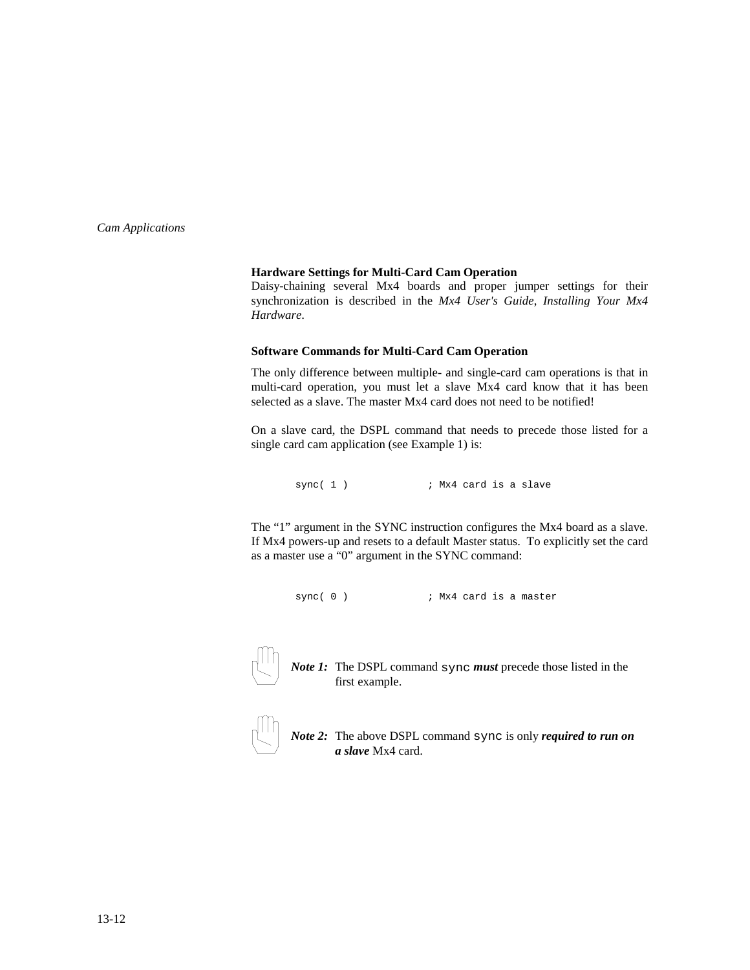#### **Hardware Settings for Multi-Card Cam Operation**

Daisy-chaining several Mx4 boards and proper jumper settings for their synchronization is described in the *Mx4 User's Guide*, *Installing Your Mx4 Hardware*.

#### **Software Commands for Multi-Card Cam Operation**

The only difference between multiple- and single-card cam operations is that in multi-card operation, you must let a slave Mx4 card know that it has been selected as a slave. The master Mx4 card does not need to be notified!

On a slave card, the DSPL command that needs to precede those listed for a single card cam application (see Example 1) is:

sync( 1 )  $;$  Mx4 card is a slave

The "1" argument in the SYNC instruction configures the Mx4 board as a slave. If Mx4 powers-up and resets to a default Master status. To explicitly set the card as a master use a "0" argument in the SYNC command:

```
sync( 0 ) ; Mx4 card is a master
```


*Note 1:* The DSPL command sync *must* precede those listed in the first example.



*Note 2:* The above DSPL command sync is only *required to run on a slave* Mx4 card.